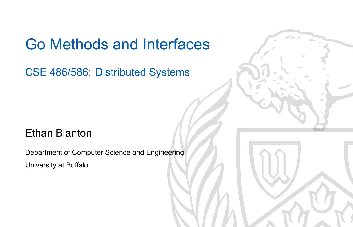#### Go Methods and Interfaces

CSE 486/586: Distributed Systems

#### Ethan Blanton

Department of Computer Science and Engineering University at Buffalo

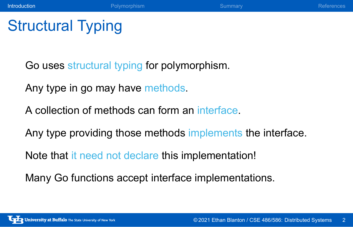**Introduction** References **Polymorphism Professor Community** Summary References

## Structural Typing

Go uses structural typing for polymorphism.

Any type in go may have methods.

A collection of methods can form an interface.

Any type providing those methods implements the interface.

Note that it need not declare this implementation!

Many Go functions accept interface implementations.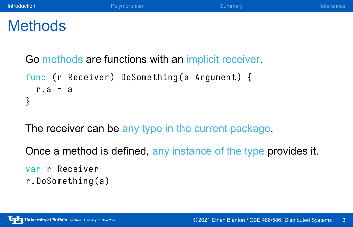#### **Introduction** References **Polymorphism Provide Community** Summary **References**

### **Methods**

Go methods are functions with an implicit receiver.

```
func (r Receiver) DoSomething (a Argument) {
  r. a = a
}
```
The receiver can be any type in the current package.

Once a method is defined, any instance of the type provides it.

```
var r Receiver
r . DoSomething ( a )
```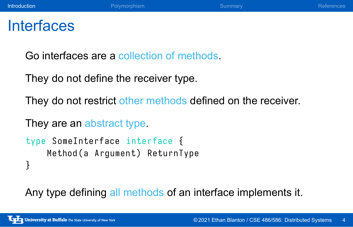#### **Introduction** References **Polymorphism Provide Community** Summary **References**

#### **Interfaces**

Go interfaces are a collection of methods.

They do not define the receiver type.

They do not restrict other methods defined on the receiver.

They are an abstract type.

```
type SomeInterface interface {
   Method (a Argument) ReturnType
}
```
Any type defining all methods of an interface implements it.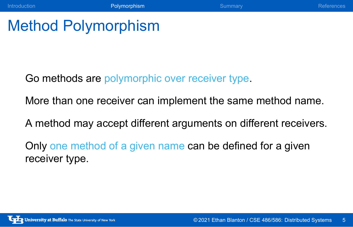Introduction **Community References** Polymorphism Summary Summary References

### Method Polymorphism

Go methods are polymorphic over receiver type.

More than one receiver can implement the same method name.

A method may accept different arguments on different receivers.

Only one method of a given name can be defined for a given receiver type.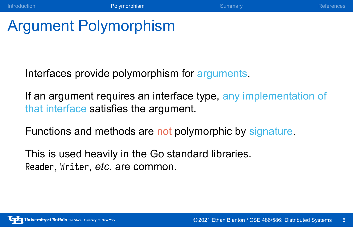Introduction **Polymorphism References Polymorphism** Summary References

## Argument Polymorphism

Interfaces provide polymorphism for arguments.

If an argument requires an interface type, any implementation of that interface satisfies the argument.

Functions and methods are not polymorphic by signature.

This is used heavily in the Go standard libraries. Reader, Writer, *etc.* are common.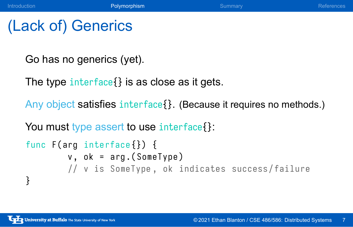## (Lack of) Generics

Go has no generics (yet).

The type interface{} is as close as it gets.

Any object satisfies interface{}. (Because it requires no methods.)

Introduction **Polymorphism References** Commary References

You must type assert to use interface {}:

```
func F(arg interface{}) {
        v, ok = arg.(SomeType)
        // v is SomeType , ok indicates success / failure
}
```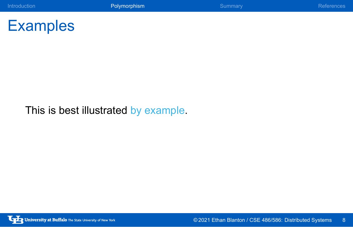

This is best illustrated by example.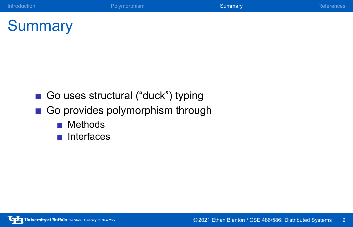# **Summary**

- Go uses structural ("duck") typing
- Go provides polymorphism through

Introduction **Polymorphism** Polymorphism **Summary References** 

- Methods
- **n** Interfaces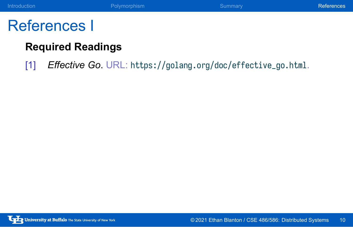## Introduction **Controller Controller Polymorphism** Community Summary References References

### References I

#### **Required Readings**

[1] *Effective Go*. URL: https://golang.org/doc/effective\_go.html.